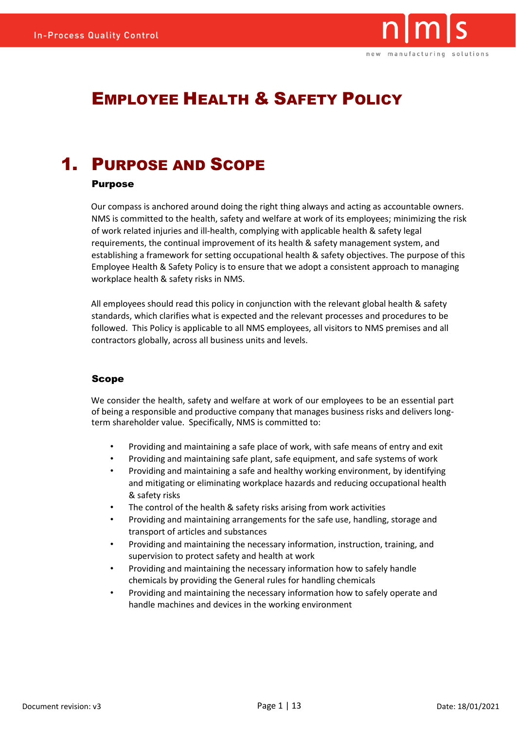

# EMPLOYEE HEALTH & SAFETY POLICY

# 1. PURPOSE AND SCOPE

#### Purpose

Our compass is anchored around doing the right thing always and acting as accountable owners. NMS is committed to the health, safety and welfare at work of its employees; minimizing the risk of work related injuries and ill-health, complying with applicable health & safety legal requirements, the continual improvement of its health & safety management system, and establishing a framework for setting occupational health & safety objectives. The purpose of this Employee Health & Safety Policy is to ensure that we adopt a consistent approach to managing workplace health & safety risks in NMS.

All employees should read this policy in conjunction with the relevant global health & safety standards, which clarifies what is expected and the relevant processes and procedures to be followed. This Policy is applicable to all NMS employees, all visitors to NMS premises and all contractors globally, across all business units and levels.

#### Scope

We consider the health, safety and welfare at work of our employees to be an essential part of being a responsible and productive company that manages business risks and delivers longterm shareholder value. Specifically, NMS is committed to:

- Providing and maintaining a safe place of work, with safe means of entry and exit
- Providing and maintaining safe plant, safe equipment, and safe systems of work
- Providing and maintaining a safe and healthy working environment, by identifying and mitigating or eliminating workplace hazards and reducing occupational health & safety risks
- The control of the health & safety risks arising from work activities
- Providing and maintaining arrangements for the safe use, handling, storage and transport of articles and substances
- Providing and maintaining the necessary information, instruction, training, and supervision to protect safety and health at work
- Providing and maintaining the necessary information how to safely handle chemicals by providing the General rules for handling chemicals
- Providing and maintaining the necessary information how to safely operate and handle machines and devices in the working environment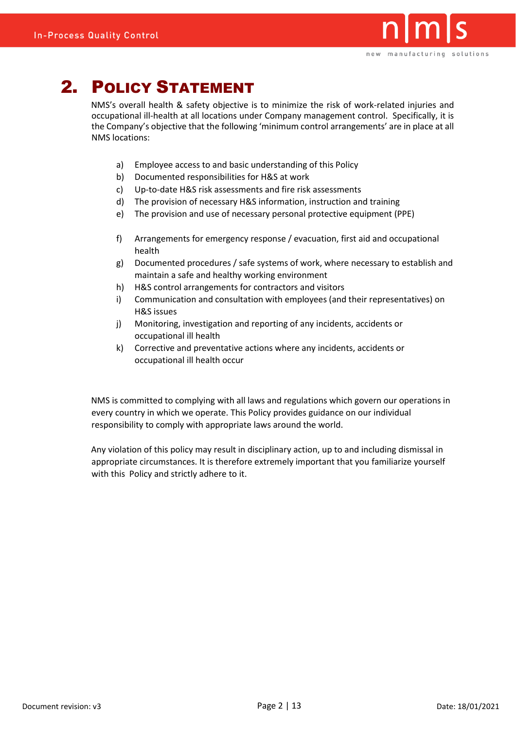

# 2. POLICY STATEMENT

NMS's overall health & safety objective is to minimize the risk of work-related injuries and occupational ill-health at all locations under Company management control. Specifically, it is the Company's objective that the following 'minimum control arrangements' are in place at all NMS locations:

- a) Employee access to and basic understanding of this Policy
- b) Documented responsibilities for H&S at work
- c) Up-to-date H&S risk assessments and fire risk assessments
- d) The provision of necessary H&S information, instruction and training
- e) The provision and use of necessary personal protective equipment (PPE)
- f) Arrangements for emergency response / evacuation, first aid and occupational health
- g) Documented procedures / safe systems of work, where necessary to establish and maintain a safe and healthy working environment
- h) H&S control arrangements for contractors and visitors
- i) Communication and consultation with employees (and their representatives) on H&S issues
- j) Monitoring, investigation and reporting of any incidents, accidents or occupational ill health
- k) Corrective and preventative actions where any incidents, accidents or occupational ill health occur

NMS is committed to complying with all laws and regulations which govern our operations in every country in which we operate. This Policy provides guidance on our individual responsibility to comply with appropriate laws around the world.

Any violation of this policy may result in disciplinary action, up to and including dismissal in appropriate circumstances. It is therefore extremely important that you familiarize yourself with this Policy and strictly adhere to it.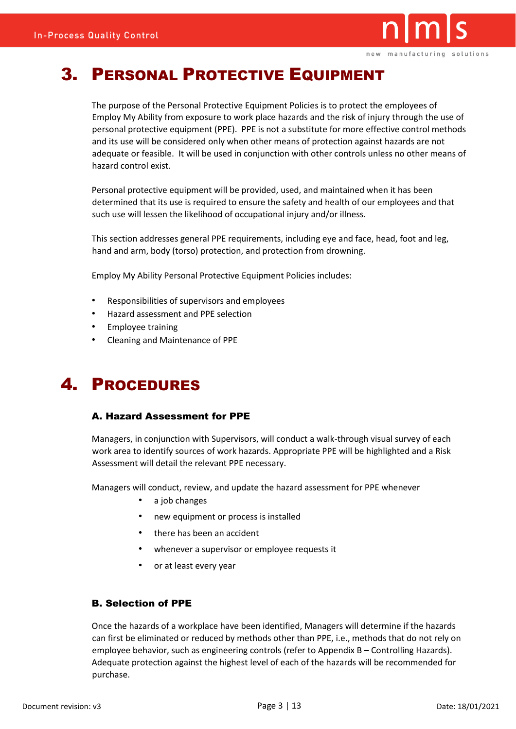

# 3. PERSONAL PROTECTIVE EQUIPMENT

The purpose of the Personal Protective Equipment Policies is to protect the employees of Employ My Ability from exposure to work place hazards and the risk of injury through the use of personal protective equipment (PPE). PPE is not a substitute for more effective control methods and its use will be considered only when other means of protection against hazards are not adequate or feasible. It will be used in conjunction with other controls unless no other means of hazard control exist.

Personal protective equipment will be provided, used, and maintained when it has been determined that its use is required to ensure the safety and health of our employees and that such use will lessen the likelihood of occupational injury and/or illness.

This section addresses general PPE requirements, including eye and face, head, foot and leg, hand and arm, body (torso) protection, and protection from drowning.

Employ My Ability Personal Protective Equipment Policies includes:

- Responsibilities of supervisors and employees
- Hazard assessment and PPE selection
- Employee training
- Cleaning and Maintenance of PPE

# 4. PROCEDURES

### A. Hazard Assessment for PPE

Managers, in conjunction with Supervisors, will conduct a walk-through visual survey of each work area to identify sources of work hazards. Appropriate PPE will be highlighted and a Risk Assessment will detail the relevant PPE necessary.

Managers will conduct, review, and update the hazard assessment for PPE whenever

- a job changes
- new equipment or process is installed
- there has been an accident
- whenever a supervisor or employee requests it
- or at least every year

### B. Selection of PPE

Once the hazards of a workplace have been identified, Managers will determine if the hazards can first be eliminated or reduced by methods other than PPE, i.e., methods that do not rely on employee behavior, such as engineering controls (refer to Appendix B – Controlling Hazards). Adequate protection against the highest level of each of the hazards will be recommended for purchase.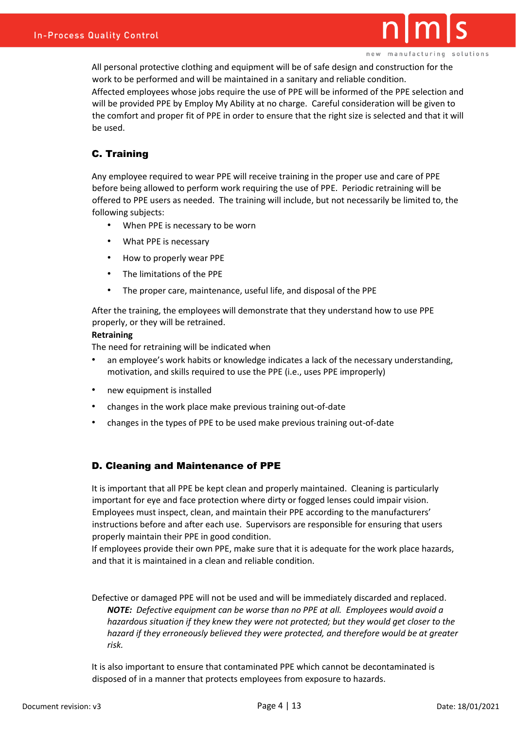

new manufacturing solutions

All personal protective clothing and equipment will be of safe design and construction for the work to be performed and will be maintained in a sanitary and reliable condition. Affected employees whose jobs require the use of PPE will be informed of the PPE selection and will be provided PPE by Employ My Ability at no charge. Careful consideration will be given to the comfort and proper fit of PPE in order to ensure that the right size is selected and that it will be used.

# C. Training

Any employee required to wear PPE will receive training in the proper use and care of PPE before being allowed to perform work requiring the use of PPE. Periodic retraining will be offered to PPE users as needed. The training will include, but not necessarily be limited to, the following subjects:

- When PPE is necessary to be worn
- What PPE is necessary
- How to properly wear PPE
- The limitations of the PPE
- The proper care, maintenance, useful life, and disposal of the PPE

After the training, the employees will demonstrate that they understand how to use PPE properly, or they will be retrained.

#### **Retraining**

The need for retraining will be indicated when

- an employee's work habits or knowledge indicates a lack of the necessary understanding, motivation, and skills required to use the PPE (i.e., uses PPE improperly)
- new equipment is installed
- changes in the work place make previous training out-of-date
- changes in the types of PPE to be used make previous training out-of-date

## D. Cleaning and Maintenance of PPE

It is important that all PPE be kept clean and properly maintained. Cleaning is particularly important for eye and face protection where dirty or fogged lenses could impair vision. Employees must inspect, clean, and maintain their PPE according to the manufacturers' instructions before and after each use. Supervisors are responsible for ensuring that users properly maintain their PPE in good condition.

If employees provide their own PPE, make sure that it is adequate for the work place hazards, and that it is maintained in a clean and reliable condition.

Defective or damaged PPE will not be used and will be immediately discarded and replaced. *NOTE: Defective equipment can be worse than no PPE at all. Employees would avoid a hazardous situation if they knew they were not protected; but they would get closer to the hazard if they erroneously believed they were protected, and therefore would be at greater risk.* 

It is also important to ensure that contaminated PPE which cannot be decontaminated is disposed of in a manner that protects employees from exposure to hazards.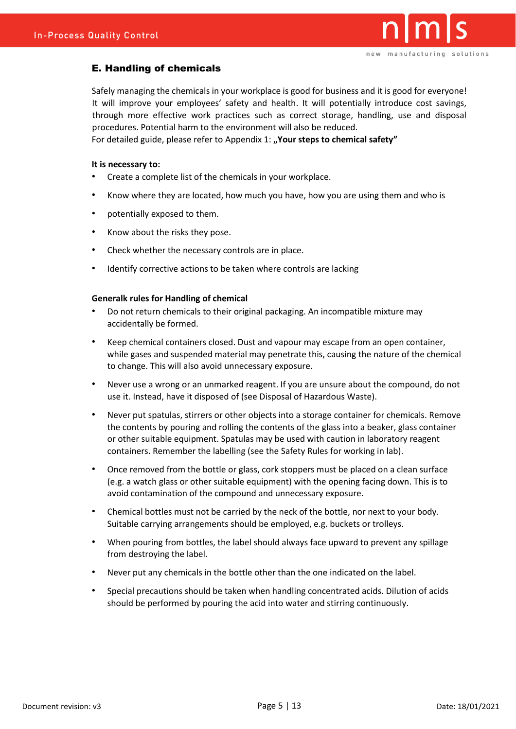

### E. Handling of chemicals

Safely managing the chemicals in your workplace is good for business and it is good for everyone! It will improve your employees' safety and health. It will potentially introduce cost savings, through more effective work practices such as correct storage, handling, use and disposal procedures. Potential harm to the environment will also be reduced.

For detailed guide, please refer to Appendix 1: "Your steps to chemical safety"

#### **It is necessary to:**

- Create a complete list of the chemicals in your workplace.
- Know where they are located, how much you have, how you are using them and who is
- potentially exposed to them.
- Know about the risks they pose.
- Check whether the necessary controls are in place.
- Identify corrective actions to be taken where controls are lacking

#### **Generalk rules for Handling of chemical**

- Do not return chemicals to their original packaging. An incompatible mixture may accidentally be formed.
- Keep chemical containers closed. Dust and vapour may escape from an open container, while gases and suspended material may penetrate this, causing the nature of the chemical to change. This will also avoid unnecessary exposure.
- Never use a wrong or an unmarked reagent. If you are unsure about the compound, do not use it. Instead, have it disposed of (see Disposal of Hazardous Waste).
- Never put spatulas, stirrers or other objects into a storage container for chemicals. Remove the contents by pouring and rolling the contents of the glass into a beaker, glass container or other suitable equipment. Spatulas may be used with caution in laboratory reagent containers. Remember the labelling (see the Safety Rules for working in lab).
- Once removed from the bottle or glass, cork stoppers must be placed on a clean surface (e.g. a watch glass or other suitable equipment) with the opening facing down. This is to avoid contamination of the compound and unnecessary exposure.
- Chemical bottles must not be carried by the neck of the bottle, nor next to your body. Suitable carrying arrangements should be employed, e.g. buckets or trolleys.
- When pouring from bottles, the label should always face upward to prevent any spillage from destroying the label.
- Never put any chemicals in the bottle other than the one indicated on the label.
- Special precautions should be taken when handling concentrated acids. Dilution of acids should be performed by pouring the acid into water and stirring continuously.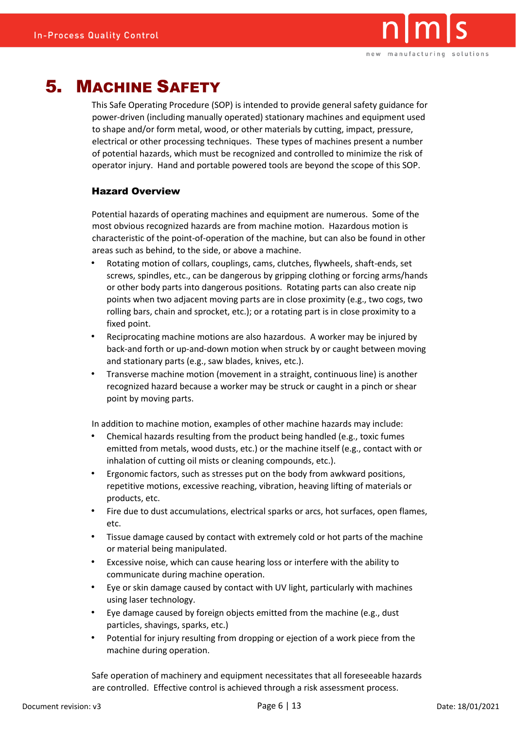

# 5. MACHINE SAFETY

This Safe Operating Procedure (SOP) is intended to provide general safety guidance for power-driven (including manually operated) stationary machines and equipment used to shape and/or form metal, wood, or other materials by cutting, impact, pressure, electrical or other processing techniques. These types of machines present a number of potential hazards, which must be recognized and controlled to minimize the risk of operator injury. Hand and portable powered tools are beyond the scope of this SOP.

### Hazard Overview

Potential hazards of operating machines and equipment are numerous. Some of the most obvious recognized hazards are from machine motion. Hazardous motion is characteristic of the point-of-operation of the machine, but can also be found in other areas such as behind, to the side, or above a machine.

- Rotating motion of collars, couplings, cams, clutches, flywheels, shaft-ends, set screws, spindles, etc., can be dangerous by gripping clothing or forcing arms/hands or other body parts into dangerous positions. Rotating parts can also create nip points when two adjacent moving parts are in close proximity (e.g., two cogs, two rolling bars, chain and sprocket, etc.); or a rotating part is in close proximity to a fixed point.
- Reciprocating machine motions are also hazardous. A worker may be injured by back-and forth or up-and-down motion when struck by or caught between moving and stationary parts (e.g., saw blades, knives, etc.).
- Transverse machine motion (movement in a straight, continuous line) is another recognized hazard because a worker may be struck or caught in a pinch or shear point by moving parts.

In addition to machine motion, examples of other machine hazards may include:

- Chemical hazards resulting from the product being handled (e.g., toxic fumes emitted from metals, wood dusts, etc.) or the machine itself (e.g., contact with or inhalation of cutting oil mists or cleaning compounds, etc.).
- Ergonomic factors, such as stresses put on the body from awkward positions, repetitive motions, excessive reaching, vibration, heaving lifting of materials or products, etc.
- Fire due to dust accumulations, electrical sparks or arcs, hot surfaces, open flames, etc.
- Tissue damage caused by contact with extremely cold or hot parts of the machine or material being manipulated.
- Excessive noise, which can cause hearing loss or interfere with the ability to communicate during machine operation.
- Eye or skin damage caused by contact with UV light, particularly with machines using laser technology.
- Eye damage caused by foreign objects emitted from the machine (e.g., dust particles, shavings, sparks, etc.)
- Potential for injury resulting from dropping or ejection of a work piece from the machine during operation.

Safe operation of machinery and equipment necessitates that all foreseeable hazards are controlled. Effective control is achieved through a risk assessment process.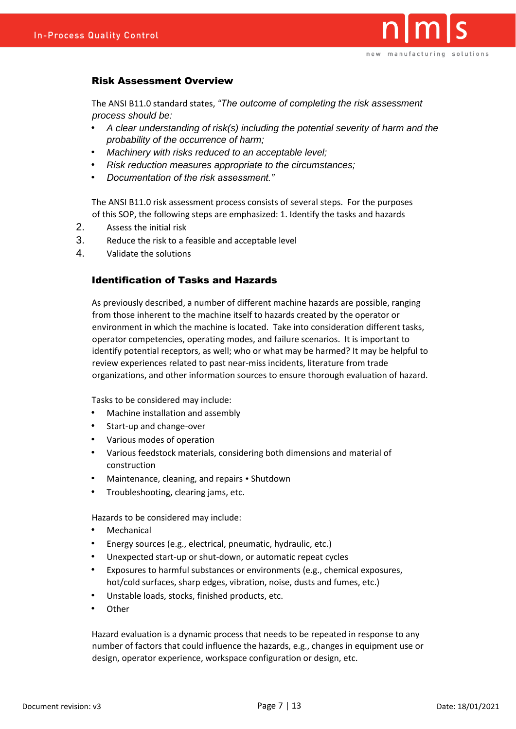

### Risk Assessment Overview

The ANSI B11.0 standard states, *"The outcome of completing the risk assessment process should be:* 

- *A clear understanding of risk(s) including the potential severity of harm and the probability of the occurrence of harm;*
- *Machinery with risks reduced to an acceptable level;*
- *Risk reduction measures appropriate to the circumstances;*
- *Documentation of the risk assessment."*

The ANSI B11.0 risk assessment process consists of several steps. For the purposes of this SOP, the following steps are emphasized: 1. Identify the tasks and hazards

- 2. Assess the initial risk
- 3. Reduce the risk to a feasible and acceptable level
- 4. Validate the solutions

### Identification of Tasks and Hazards

As previously described, a number of different machine hazards are possible, ranging from those inherent to the machine itself to hazards created by the operator or environment in which the machine is located. Take into consideration different tasks, operator competencies, operating modes, and failure scenarios. It is important to identify potential receptors, as well; who or what may be harmed? It may be helpful to review experiences related to past near-miss incidents, literature from trade organizations, and other information sources to ensure thorough evaluation of hazard.

Tasks to be considered may include:

- Machine installation and assembly
- Start-up and change-over
- Various modes of operation
- Various feedstock materials, considering both dimensions and material of construction
- Maintenance, cleaning, and repairs Shutdown
- Troubleshooting, clearing jams, etc.

Hazards to be considered may include:

- **Mechanical**
- Energy sources (e.g., electrical, pneumatic, hydraulic, etc.)
- Unexpected start-up or shut-down, or automatic repeat cycles
- Exposures to harmful substances or environments (e.g., chemical exposures, hot/cold surfaces, sharp edges, vibration, noise, dusts and fumes, etc.)
- Unstable loads, stocks, finished products, etc.
- **Other**

Hazard evaluation is a dynamic process that needs to be repeated in response to any number of factors that could influence the hazards, e.g., changes in equipment use or design, operator experience, workspace configuration or design, etc.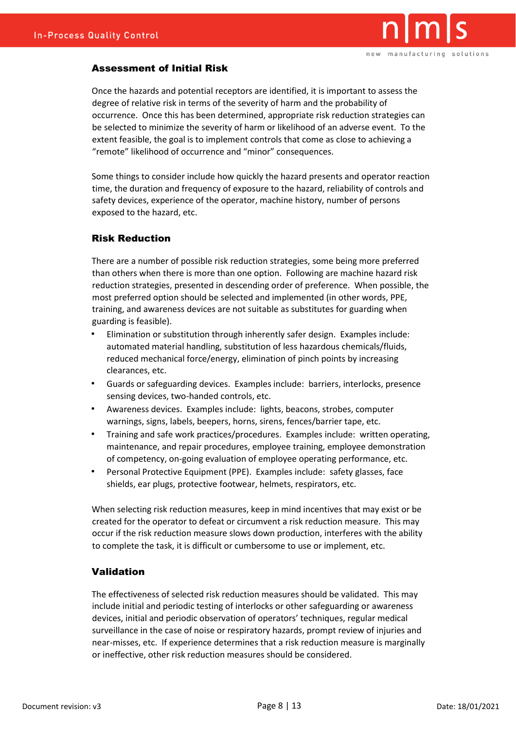

### Assessment of Initial Risk

Once the hazards and potential receptors are identified, it is important to assess the degree of relative risk in terms of the severity of harm and the probability of occurrence. Once this has been determined, appropriate risk reduction strategies can be selected to minimize the severity of harm or likelihood of an adverse event. To the extent feasible, the goal is to implement controls that come as close to achieving a "remote" likelihood of occurrence and "minor" consequences.

Some things to consider include how quickly the hazard presents and operator reaction time, the duration and frequency of exposure to the hazard, reliability of controls and safety devices, experience of the operator, machine history, number of persons exposed to the hazard, etc.

### Risk Reduction

There are a number of possible risk reduction strategies, some being more preferred than others when there is more than one option. Following are machine hazard risk reduction strategies, presented in descending order of preference. When possible, the most preferred option should be selected and implemented (in other words, PPE, training, and awareness devices are not suitable as substitutes for guarding when guarding is feasible).

- Elimination or substitution through inherently safer design. Examples include: automated material handling, substitution of less hazardous chemicals/fluids, reduced mechanical force/energy, elimination of pinch points by increasing clearances, etc.
- Guards or safeguarding devices. Examples include: barriers, interlocks, presence sensing devices, two-handed controls, etc.
- Awareness devices. Examples include: lights, beacons, strobes, computer warnings, signs, labels, beepers, horns, sirens, fences/barrier tape, etc.
- Training and safe work practices/procedures. Examples include: written operating, maintenance, and repair procedures, employee training, employee demonstration of competency, on-going evaluation of employee operating performance, etc.
- Personal Protective Equipment (PPE). Examples include: safety glasses, face shields, ear plugs, protective footwear, helmets, respirators, etc.

When selecting risk reduction measures, keep in mind incentives that may exist or be created for the operator to defeat or circumvent a risk reduction measure. This may occur if the risk reduction measure slows down production, interferes with the ability to complete the task, it is difficult or cumbersome to use or implement, etc.

### Validation

The effectiveness of selected risk reduction measures should be validated. This may include initial and periodic testing of interlocks or other safeguarding or awareness devices, initial and periodic observation of operators' techniques, regular medical surveillance in the case of noise or respiratory hazards, prompt review of injuries and near-misses, etc. If experience determines that a risk reduction measure is marginally or ineffective, other risk reduction measures should be considered.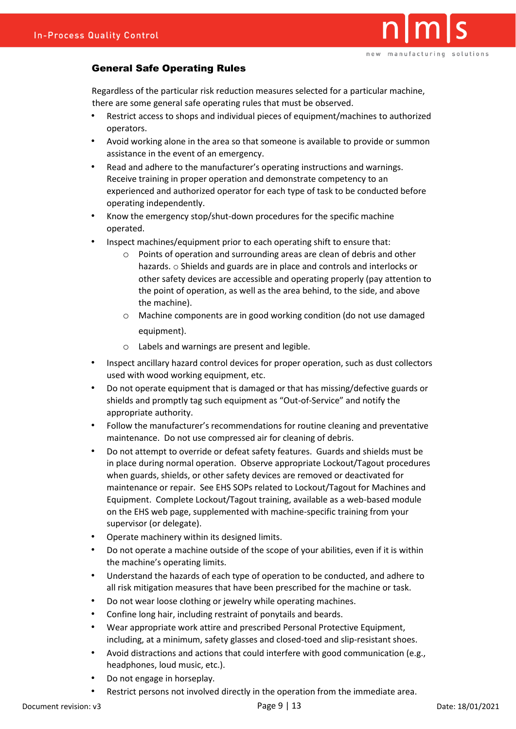

## General Safe Operating Rules

Regardless of the particular risk reduction measures selected for a particular machine, there are some general safe operating rules that must be observed.

- Restrict access to shops and individual pieces of equipment/machines to authorized operators.
- Avoid working alone in the area so that someone is available to provide or summon assistance in the event of an emergency.
- Read and adhere to the manufacturer's operating instructions and warnings. Receive training in proper operation and demonstrate competency to an experienced and authorized operator for each type of task to be conducted before operating independently.
- Know the emergency stop/shut-down procedures for the specific machine operated.
- Inspect machines/equipment prior to each operating shift to ensure that:
	- o Points of operation and surrounding areas are clean of debris and other hazards. o Shields and guards are in place and controls and interlocks or other safety devices are accessible and operating properly (pay attention to the point of operation, as well as the area behind, to the side, and above the machine).
	- o Machine components are in good working condition (do not use damaged equipment).
	- o Labels and warnings are present and legible.
- Inspect ancillary hazard control devices for proper operation, such as dust collectors used with wood working equipment, etc.
- Do not operate equipment that is damaged or that has missing/defective guards or shields and promptly tag such equipment as "Out-of-Service" and notify the appropriate authority.
- Follow the manufacturer's recommendations for routine cleaning and preventative maintenance. Do not use compressed air for cleaning of debris.
- Do not attempt to override or defeat safety features. Guards and shields must be in place during normal operation. Observe appropriate Lockout/Tagout procedures when guards, shields, or other safety devices are removed or deactivated for maintenance or repair. See EHS SOPs related to Lockout/Tagout for Machines and Equipment. Complete Lockout/Tagout training, available as a web-based module on the EHS web page, supplemented with machine-specific training from your supervisor (or delegate).
- Operate machinery within its designed limits.
- Do not operate a machine outside of the scope of your abilities, even if it is within the machine's operating limits.
- Understand the hazards of each type of operation to be conducted, and adhere to all risk mitigation measures that have been prescribed for the machine or task.
- Do not wear loose clothing or jewelry while operating machines.
- Confine long hair, including restraint of ponytails and beards.
- Wear appropriate work attire and prescribed Personal Protective Equipment, including, at a minimum, safety glasses and closed-toed and slip-resistant shoes.
- Avoid distractions and actions that could interfere with good communication (e.g., headphones, loud music, etc.).
- Do not engage in horseplay.
- Restrict persons not involved directly in the operation from the immediate area.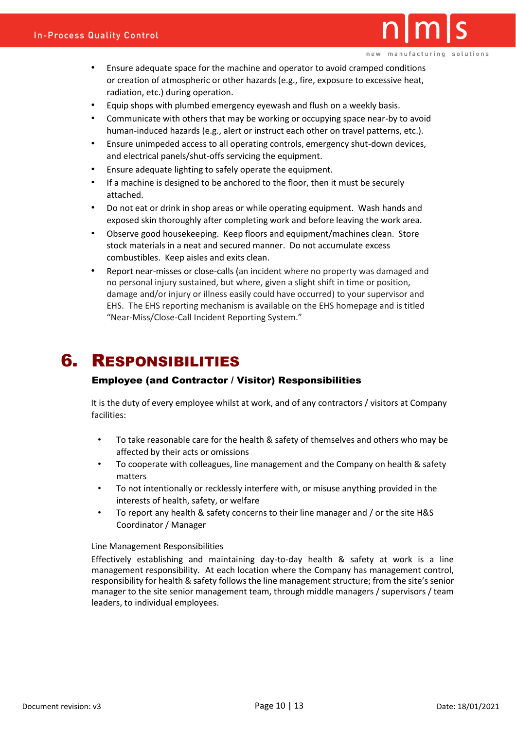- Ensure adequate space for the machine and operator to avoid cramped conditions or creation of atmospheric or other hazards (e.g., fire, exposure to excessive heat, radiation, etc.) during operation.
- Equip shops with plumbed emergency eyewash and flush on a weekly basis.
- Communicate with others that may be working or occupying space near-by to avoid human-induced hazards (e.g., alert or instruct each other on travel patterns, etc.).
- Ensure unimpeded access to all operating controls, emergency shut-down devices, and electrical panels/shut-offs servicing the equipment.
- Ensure adequate lighting to safely operate the equipment.
- If a machine is designed to be anchored to the floor, then it must be securely attached.
- Do not eat or drink in shop areas or while operating equipment. Wash hands and exposed skin thoroughly after completing work and before leaving the work area.
- Observe good housekeeping. Keep floors and equipment/machines clean. Store stock materials in a neat and secured manner. Do not accumulate excess combustibles. Keep aisles and exits clean.
- Report near-misses or close-calls (an incident where no property was damaged and no personal injury sustained, but where, given a slight shift in time or position, damage and/or injury or illness easily could have occurred) to your supervisor and EHS. The EHS reporting mechanism is available on the EHS homepage and is titled "Near-Miss/Close-Call Incident Reporting System."

# 6. RESPONSIBILITIES

#### Employee (and Contractor / Visitor) Responsibilities

It is the duty of every employee whilst at work, and of any contractors / visitors at Company facilities:

- To take reasonable care for the health & safety of themselves and others who may be affected by their acts or omissions
- To cooperate with colleagues, line management and the Company on health & safety matters
- To not intentionally or recklessly interfere with, or misuse anything provided in the interests of health, safety, or welfare
- To report any health & safety concerns to their line manager and / or the site H&S Coordinator / Manager

#### Line Management Responsibilities

Effectively establishing and maintaining day-to-day health & safety at work is a line management responsibility. At each location where the Company has management control, responsibility for health & safety follows the line management structure; from the site's senior manager to the site senior management team, through middle managers / supervisors / team leaders, to individual employees.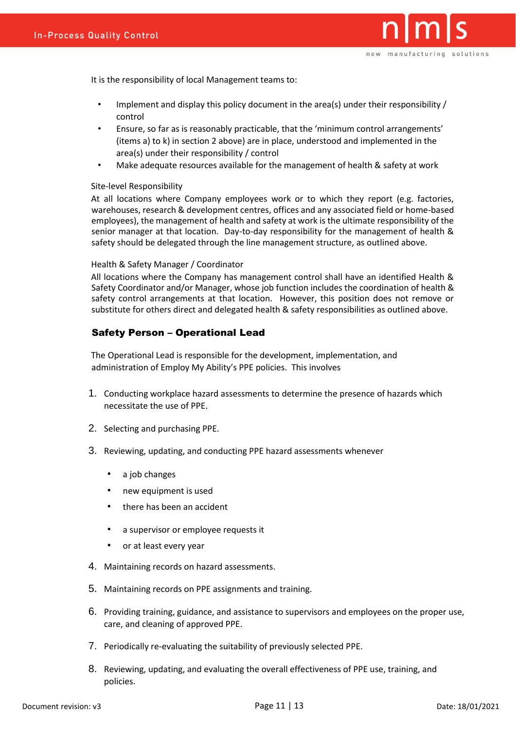

It is the responsibility of local Management teams to:

- Implement and display this policy document in the area(s) under their responsibility / control
- Ensure, so far as is reasonably practicable, that the 'minimum control arrangements' (items a) to k) in section 2 above) are in place, understood and implemented in the area(s) under their responsibility / control
- Make adequate resources available for the management of health & safety at work

#### Site-level Responsibility

At all locations where Company employees work or to which they report (e.g. factories, warehouses, research & development centres, offices and any associated field or home-based employees), the management of health and safety at work is the ultimate responsibility of the senior manager at that location. Day-to-day responsibility for the management of health & safety should be delegated through the line management structure, as outlined above.

#### Health & Safety Manager / Coordinator

All locations where the Company has management control shall have an identified Health & Safety Coordinator and/or Manager, whose job function includes the coordination of health & safety control arrangements at that location. However, this position does not remove or substitute for others direct and delegated health & safety responsibilities as outlined above.

#### Safety Person – Operational Lead

The Operational Lead is responsible for the development, implementation, and administration of Employ My Ability's PPE policies. This involves

- 1. Conducting workplace hazard assessments to determine the presence of hazards which necessitate the use of PPE.
- 2. Selecting and purchasing PPE.
- 3. Reviewing, updating, and conducting PPE hazard assessments whenever
	- a job changes
	- new equipment is used
	- there has been an accident
	- a supervisor or employee requests it
	- or at least every year
- 4. Maintaining records on hazard assessments.
- 5. Maintaining records on PPE assignments and training.
- 6. Providing training, guidance, and assistance to supervisors and employees on the proper use, care, and cleaning of approved PPE.
- 7. Periodically re-evaluating the suitability of previously selected PPE.
- 8. Reviewing, updating, and evaluating the overall effectiveness of PPE use, training, and policies.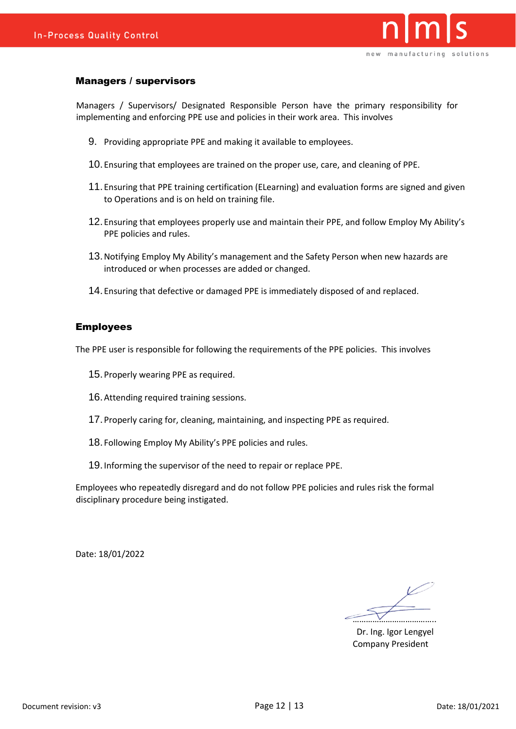

#### Managers / supervisors

Managers / Supervisors/ Designated Responsible Person have the primary responsibility for implementing and enforcing PPE use and policies in their work area. This involves

- 9. Providing appropriate PPE and making it available to employees.
- 10.Ensuring that employees are trained on the proper use, care, and cleaning of PPE.
- 11.Ensuring that PPE training certification (ELearning) and evaluation forms are signed and given to Operations and is on held on training file.
- 12.Ensuring that employees properly use and maintain their PPE, and follow Employ My Ability's PPE policies and rules.
- 13.Notifying Employ My Ability's management and the Safety Person when new hazards are introduced or when processes are added or changed.
- 14.Ensuring that defective or damaged PPE is immediately disposed of and replaced.

#### Employees

The PPE user is responsible for following the requirements of the PPE policies. This involves

- 15.Properly wearing PPE as required.
- 16.Attending required training sessions.
- 17.Properly caring for, cleaning, maintaining, and inspecting PPE as required.
- 18.Following Employ My Ability's PPE policies and rules.
- 19.Informing the supervisor of the need to repair or replace PPE.

Employees who repeatedly disregard and do not follow PPE policies and rules risk the formal disciplinary procedure being instigated.

Date: 18/01/2022

………………………………..

Dr. Ing. Igor Lengyel Company President